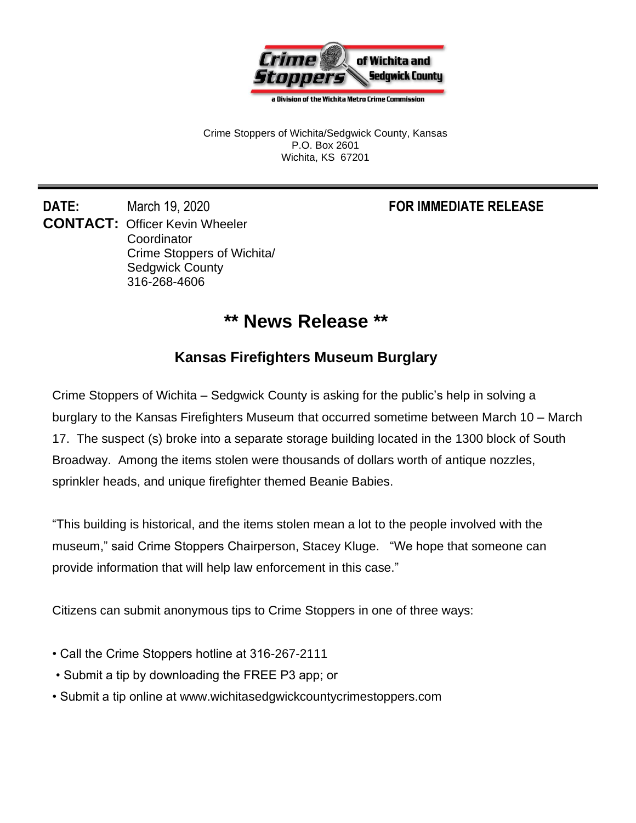

a Division of the Wichita Metro Crime Commission

Crime Stoppers of Wichita/Sedgwick County, Kansas P.O. Box 2601 Wichita, KS 67201

**DATE:** March 19, 2020 **FOR IMMEDIATE RELEASE CONTACT:** Officer Kevin Wheeler **Coordinator** Crime Stoppers of Wichita/ Sedgwick County 316-268-4606

## **\*\* News Release \*\***

## **Kansas Firefighters Museum Burglary**

Crime Stoppers of Wichita – Sedgwick County is asking for the public's help in solving a burglary to the Kansas Firefighters Museum that occurred sometime between March 10 – March 17. The suspect (s) broke into a separate storage building located in the 1300 block of South Broadway. Among the items stolen were thousands of dollars worth of antique nozzles, sprinkler heads, and unique firefighter themed Beanie Babies.

"This building is historical, and the items stolen mean a lot to the people involved with the museum," said Crime Stoppers Chairperson, Stacey Kluge. "We hope that someone can provide information that will help law enforcement in this case."

Citizens can submit anonymous tips to Crime Stoppers in one of three ways:

- Call the Crime Stoppers hotline at 316-267-2111
- Submit a tip by downloading the FREE P3 app; or
- Submit a tip online at www.wichitasedgwickcountycrimestoppers.com